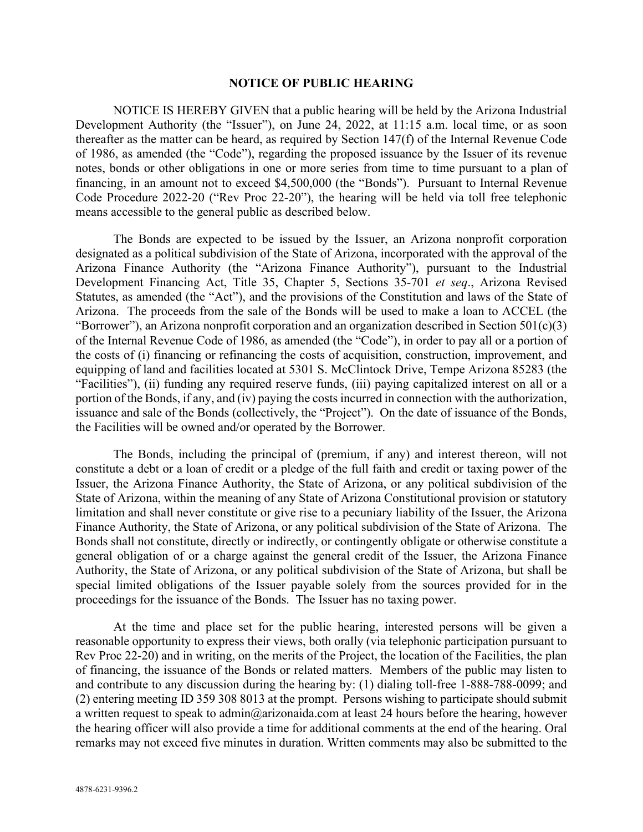## **NOTICE OF PUBLIC HEARING**

NOTICE IS HEREBY GIVEN that a public hearing will be held by the Arizona Industrial Development Authority (the "Issuer"), on June 24, 2022, at 11:15 a.m. local time, or as soon thereafter as the matter can be heard, as required by Section 147(f) of the Internal Revenue Code of 1986, as amended (the "Code"), regarding the proposed issuance by the Issuer of its revenue notes, bonds or other obligations in one or more series from time to time pursuant to a plan of financing, in an amount not to exceed \$4,500,000 (the "Bonds"). Pursuant to Internal Revenue Code Procedure 2022-20 ("Rev Proc 22-20"), the hearing will be held via toll free telephonic means accessible to the general public as described below.

The Bonds are expected to be issued by the Issuer, an Arizona nonprofit corporation designated as a political subdivision of the State of Arizona, incorporated with the approval of the Arizona Finance Authority (the "Arizona Finance Authority"), pursuant to the Industrial Development Financing Act, Title 35, Chapter 5, Sections 35-701 *et seq*., Arizona Revised Statutes, as amended (the "Act"), and the provisions of the Constitution and laws of the State of Arizona. The proceeds from the sale of the Bonds will be used to make a loan to ACCEL (the "Borrower"), an Arizona nonprofit corporation and an organization described in Section  $501(c)(3)$ of the Internal Revenue Code of 1986, as amended (the "Code"), in order to pay all or a portion of the costs of (i) financing or refinancing the costs of acquisition, construction, improvement, and equipping of land and facilities located at 5301 S. McClintock Drive, Tempe Arizona 85283 (the "Facilities"), (ii) funding any required reserve funds, (iii) paying capitalized interest on all or a portion of the Bonds, if any, and (iv) paying the costs incurred in connection with the authorization, issuance and sale of the Bonds (collectively, the "Project"). On the date of issuance of the Bonds, the Facilities will be owned and/or operated by the Borrower.

The Bonds, including the principal of (premium, if any) and interest thereon, will not constitute a debt or a loan of credit or a pledge of the full faith and credit or taxing power of the Issuer, the Arizona Finance Authority, the State of Arizona, or any political subdivision of the State of Arizona, within the meaning of any State of Arizona Constitutional provision or statutory limitation and shall never constitute or give rise to a pecuniary liability of the Issuer, the Arizona Finance Authority, the State of Arizona, or any political subdivision of the State of Arizona. The Bonds shall not constitute, directly or indirectly, or contingently obligate or otherwise constitute a general obligation of or a charge against the general credit of the Issuer, the Arizona Finance Authority, the State of Arizona, or any political subdivision of the State of Arizona, but shall be special limited obligations of the Issuer payable solely from the sources provided for in the proceedings for the issuance of the Bonds. The Issuer has no taxing power.

At the time and place set for the public hearing, interested persons will be given a reasonable opportunity to express their views, both orally (via telephonic participation pursuant to Rev Proc 22-20) and in writing, on the merits of the Project, the location of the Facilities, the plan of financing, the issuance of the Bonds or related matters. Members of the public may listen to and contribute to any discussion during the hearing by: (1) dialing toll-free 1-888-788-0099; and (2) entering meeting ID 359 308 8013 at the prompt. Persons wishing to participate should submit a written request to speak to admin@arizonaida.com at least 24 hours before the hearing, however the hearing officer will also provide a time for additional comments at the end of the hearing. Oral remarks may not exceed five minutes in duration. Written comments may also be submitted to the